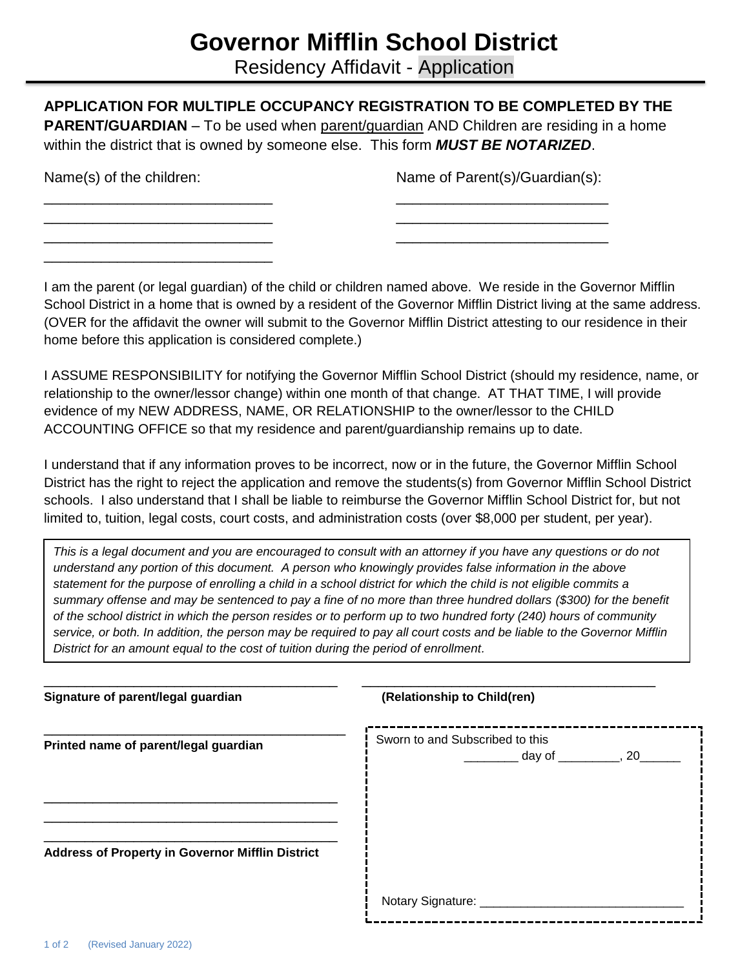## **Governor Mifflin School District**

Residency Affidavit - Application

| Name(s) of the children:                              | Name of Parent(s)/Guardian(s):                                                                                                                                                                                                                                                                                                                                                                                                                                                                                                                                                                                                                                                                                                                                                                             |
|-------------------------------------------------------|------------------------------------------------------------------------------------------------------------------------------------------------------------------------------------------------------------------------------------------------------------------------------------------------------------------------------------------------------------------------------------------------------------------------------------------------------------------------------------------------------------------------------------------------------------------------------------------------------------------------------------------------------------------------------------------------------------------------------------------------------------------------------------------------------------|
|                                                       | I am the parent (or legal guardian) of the child or children named above. We reside in the Governor Mifflin                                                                                                                                                                                                                                                                                                                                                                                                                                                                                                                                                                                                                                                                                                |
| home before this application is considered complete.) | School District in a home that is owned by a resident of the Governor Mifflin District living at the same address.<br>(OVER for the affidavit the owner will submit to the Governor Mifflin District attesting to our residence in their                                                                                                                                                                                                                                                                                                                                                                                                                                                                                                                                                                   |
|                                                       | I ASSUME RESPONSIBILITY for notifying the Governor Mifflin School District (should my residence, name, or<br>relationship to the owner/lessor change) within one month of that change. AT THAT TIME, I will provide<br>evidence of my NEW ADDRESS, NAME, OR RELATIONSHIP to the owner/lessor to the CHILD<br>ACCOUNTING OFFICE so that my residence and parent/guardianship remains up to date.                                                                                                                                                                                                                                                                                                                                                                                                            |
|                                                       | I understand that if any information proves to be incorrect, now or in the future, the Governor Mifflin School<br>District has the right to reject the application and remove the students(s) from Governor Mifflin School District<br>schools. I also understand that I shall be liable to reimburse the Governor Mifflin School District for, but not<br>limited to, tuition, legal costs, court costs, and administration costs (over \$8,000 per student, per year).                                                                                                                                                                                                                                                                                                                                   |
|                                                       | This is a legal document and you are encouraged to consult with an attorney if you have any questions or do not<br>understand any portion of this document. A person who knowingly provides false information in the above<br>statement for the purpose of enrolling a child in a school district for which the child is not eligible commits a<br>summary offense and may be sentenced to pay a fine of no more than three hundred dollars (\$300) for the benefit<br>of the school district in which the person resides or to perform up to two hundred forty (240) hours of community<br>service, or both. In addition, the person may be required to pay all court costs and be liable to the Governor Mifflin<br>District for an amount equal to the cost of tuition during the period of enrollment. |

| Signature of parent/legal guardian                      | (Relationship to Child(ren)                                             |  |
|---------------------------------------------------------|-------------------------------------------------------------------------|--|
| Printed name of parent/legal guardian                   | Sworn to and Subscribed to this<br>$\frac{1}{2}$ day of ___________, 20 |  |
|                                                         |                                                                         |  |
| <b>Address of Property in Governor Mifflin District</b> |                                                                         |  |
|                                                         | Notary Signature: ________                                              |  |